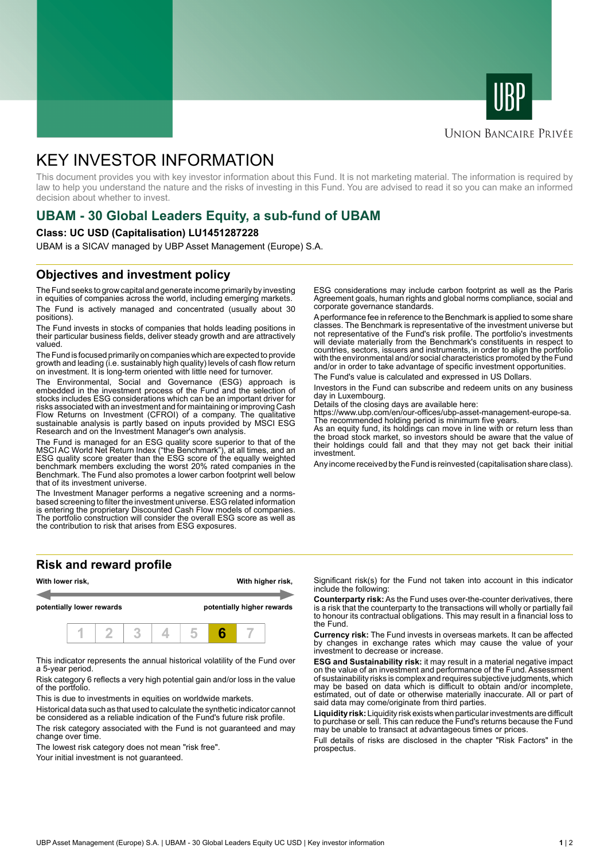



### **UNION BANCAIRE PRIVÉE**

# KEY INVESTOR INFORMATION

This document provides you with key investor information about this Fund. It is not marketing material. The information is required by law to help you understand the nature and the risks of investing in this Fund. You are advised to read it so you can make an informed decision about whether to invest.

# **UBAM - 30 Global Leaders Equity, a sub-fund of UBAM**

### **Class: UC USD (Capitalisation) LU1451287228**

UBAM is a SICAV managed by UBP Asset Management (Europe) S.A.

### **Objectives and investment policy**

The Fund seeks to grow capital and generate income primarily by investing in equities of companies across the world, including emerging markets. The Fund is actively managed and concentrated (usually about 30 positions).

The Fund invests in stocks of companies that holds leading positions in their particular business fields, deliver steady growth and are attractively valued.

The Fund is focused primarily on companies which are expected to provide growth and leading (i.e. sustainably high quality) levels of cash flow return on investment. It is long-term oriented with little need for turnover.

The Environmental, Social and Governance (ESG) approach is embedded in the investment process of the Fund and the selection of stocks includes ESG considerations which can be an important driver for risks associated with an investment and for maintaining or improving Cash Flow Returns on Investment (CFROI) of a company. The qualitative sustainable analysis is partly based on inputs provided by MSCI ESG Research and on the Investment Manager's own analysis.

The Fund is managed for an ESG quality score superior to that of the MSCI AC World Net Return Index ("the Benchmark"), at all times, and an ESG quality score greater than the ESG score of the equally weighted benchmark members excluding the worst 20% rated companies in the Benchmark. The Fund also promotes a lower carbon footprint well below that of its investment universe.

The Investment Manager performs a negative screening and a normsbased screening to filter the investment universe. ESG related information is entering the proprietary Discounted Cash Flow models of companies. The portfolio construction will consider the overall ESG score as well as the contribution to risk that arises from ESG exposures.

**Risk and reward profile**



This indicator represents the annual historical volatility of the Fund over a 5-year period.

Risk category 6 reflects a very high potential gain and/or loss in the value of the portfolio.

This is due to investments in equities on worldwide markets.

Historical data such as that used to calculate the synthetic indicator cannot be considered as a reliable indication of the Fund's future risk profile.

The risk category associated with the Fund is not guaranteed and may change over time.

The lowest risk category does not mean "risk free".

Your initial investment is not quaranteed.

ESG considerations may include carbon footprint as well as the Paris Agreement goals, human rights and global norms compliance, social and corporate governance standards.

A performance fee in reference to the Benchmark is applied to some share classes. The Benchmark is representative of the investment universe but not representative of the Fund's risk profile. The portfolio's investments will deviate materially from the Benchmark's constituents in respect to countries, sectors, issuers and instruments, in order to align the portfolio with the environmental and/or social characteristics promoted by the Fund and/or in order to take advantage of specific investment opportunities.

The Fund's value is calculated and expressed in US Dollars.

Investors in the Fund can subscribe and redeem units on any business day in Luxembourg.

Details of the closing days are available here:

https://www.ubp.com/en/our-offices/ubp-asset-management-europe-sa. The recommended holding period is minimum five years.

As an equity fund, its holdings can move in line with or return less than the broad stock market, so investors should be aware that the value of their holdings could fall and that they may not get back their initial investment.

Any income received by the Fund is reinvested (capitalisation share class).

Significant risk(s) for the Fund not taken into account in this indicator include the following:

**Counterparty risk:** As the Fund uses over-the-counter derivatives, there is a risk that the counterparty to the transactions will wholly or partially fail to honour its contractual obligations. This may result in a financial loss to the Fund.

**Currency risk:** The Fund invests in overseas markets. It can be affected by changes in exchange rates which may cause the value of your investment to decrease or increase.

**ESG and Sustainability risk:** it may result in a material negative impact on the value of an investment and performance of the Fund. Assessment of sustainability risks is complex and requires subjective judgments, which may be based on data which is difficult to obtain and/or incomplete, estimated, out of date or otherwise materially inaccurate. All or part of said data may come/originate from third parties.

**Liquidity risk:** Liquidity risk exists when particular investments are difficult to purchase or sell. This can reduce the Fund's returns because the Fund may be unable to transact at advantageous times or prices.

Full details of risks are disclosed in the chapter "Risk Factors" in the prospectus.